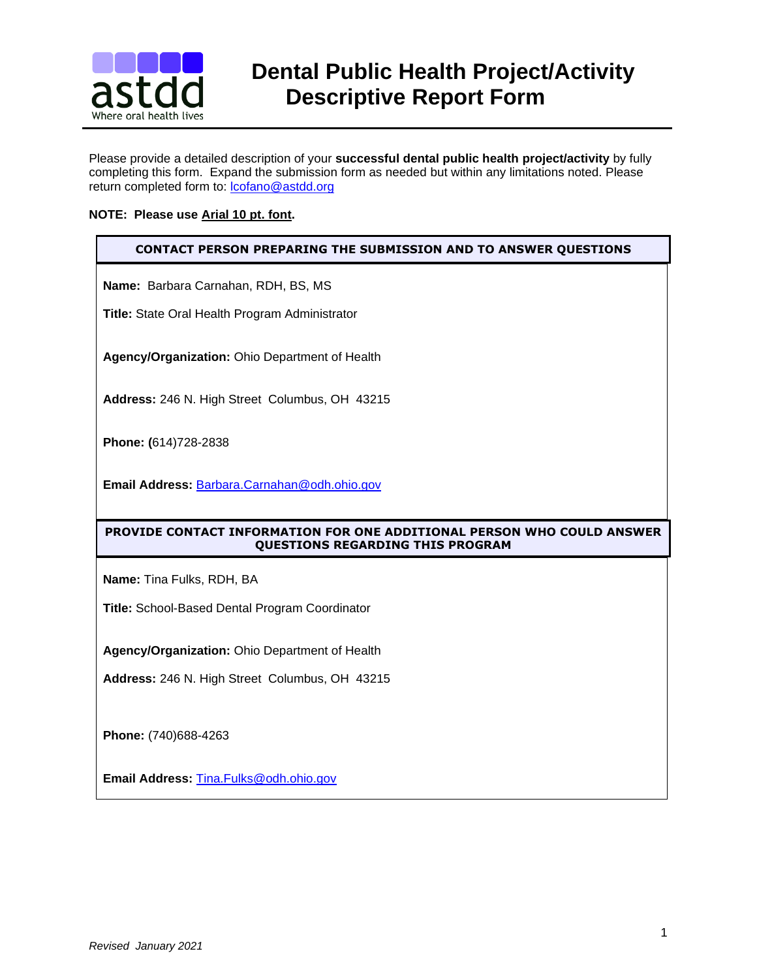

# **BULLE** Dental Public Health Project/Activity<br>**astdd** Descrintive Renort Form  **Descriptive Report Form**

Please provide a detailed description of your **successful dental public health project/activity** by fully completing this form. Expand the submission form as needed but within any limitations noted. Please return completed form to: [lcofano@astdd.org](mailto:lcofano@astdd.org)

# **NOTE: Please use Arial 10 pt. font.**

# **CONTACT PERSON PREPARING THE SUBMISSION AND TO ANSWER QUESTIONS**

**Name:** Barbara Carnahan, RDH, BS, MS

**Title:** State Oral Health Program Administrator

**Agency/Organization:** Ohio Department of Health

**Address:** 246 N. High Street Columbus, OH 43215

**Phone: (**614)728-2838

**Email Address:** [Barbara.Carnahan@odh.ohio.gov](mailto:Barbara.Carnahan@odh.ohio.gov)

# **PROVIDE CONTACT INFORMATION FOR ONE ADDITIONAL PERSON WHO COULD ANSWER QUESTIONS REGARDING THIS PROGRAM**

**Name:** Tina Fulks, RDH, BA

**Title:** School-Based Dental Program Coordinator

**Agency/Organization:** Ohio Department of Health

**Address:** 246 N. High Street Columbus, OH 43215

**Phone:** (740)688-4263

**Email Address:** [Tina.Fulks@odh.ohio.gov](mailto:Tina.Fulks@odh.ohio.gov)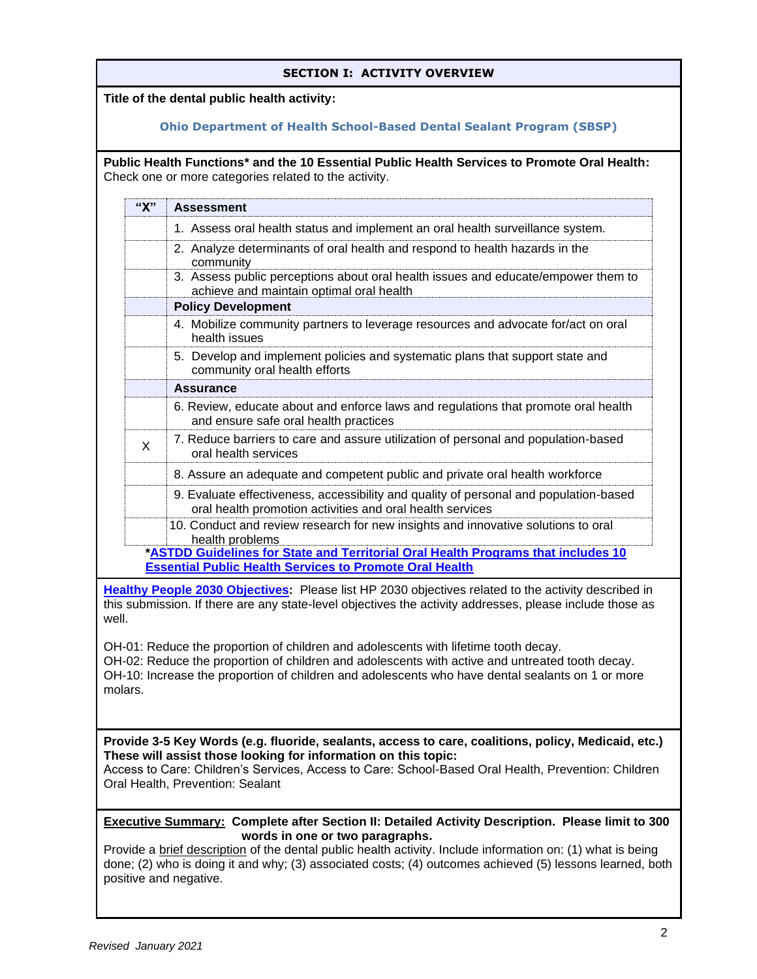# **SECTION I: ACTIVITY OVERVIEW**

**Title of the dental public health activity:** 

# **Ohio Department of Health School-Based Dental Sealant Program (SBSP)**

**Public Health Functions\* and the 10 Essential Public Health Services to Promote Oral Health:**  Check one or more categories related to the activity.

| "X"          | <b>Assessment</b>                                                                                                                                   |
|--------------|-----------------------------------------------------------------------------------------------------------------------------------------------------|
|              | 1. Assess oral health status and implement an oral health surveillance system.                                                                      |
|              | 2. Analyze determinants of oral health and respond to health hazards in the<br>community                                                            |
|              | 3. Assess public perceptions about oral health issues and educate/empower them to<br>achieve and maintain optimal oral health                       |
|              | <b>Policy Development</b>                                                                                                                           |
|              | 4. Mobilize community partners to leverage resources and advocate for/act on oral<br>health issues                                                  |
|              | 5. Develop and implement policies and systematic plans that support state and<br>community oral health efforts                                      |
|              | <b>Assurance</b>                                                                                                                                    |
|              | 6. Review, educate about and enforce laws and regulations that promote oral health<br>and ensure safe oral health practices                         |
| $\mathsf{x}$ | 7. Reduce barriers to care and assure utilization of personal and population-based<br>oral health services                                          |
|              | 8. Assure an adequate and competent public and private oral health workforce                                                                        |
|              | 9. Evaluate effectiveness, accessibility and quality of personal and population-based<br>oral health promotion activities and oral health services  |
|              | 10. Conduct and review research for new insights and innovative solutions to oral<br>health problems                                                |
|              | *ASTDD Guidelines for State and Territorial Oral Health Programs that includes 10<br><b>Essential Public Health Services to Promote Oral Health</b> |

**[Healthy People 2030 Objectives:](https://health.gov/healthypeople/objectives-and-data/browse-objectives/oral-conditions)** Please list HP 2030 objectives related to the activity described in this submission. If there are any state-level objectives the activity addresses, please include those as well.

OH-01: Reduce the proportion of children and adolescents with lifetime tooth decay.

OH-02: Reduce the proportion of children and adolescents with active and untreated tooth decay. OH-10: Increase the proportion of children and adolescents who have dental sealants on 1 or more molars.

**Provide 3-5 Key Words (e.g. fluoride, sealants, access to care, coalitions, policy, Medicaid, etc.) These will assist those looking for information on this topic:**

Access to Care: Children's Services, Access to Care: School-Based Oral Health, Prevention: Children Oral Health, Prevention: Sealant

**Executive Summary: Complete after Section II: Detailed Activity Description. Please limit to 300 words in one or two paragraphs.**

Provide a brief description of the dental public health activity. Include information on: (1) what is being done; (2) who is doing it and why; (3) associated costs; (4) outcomes achieved (5) lessons learned, both positive and negative.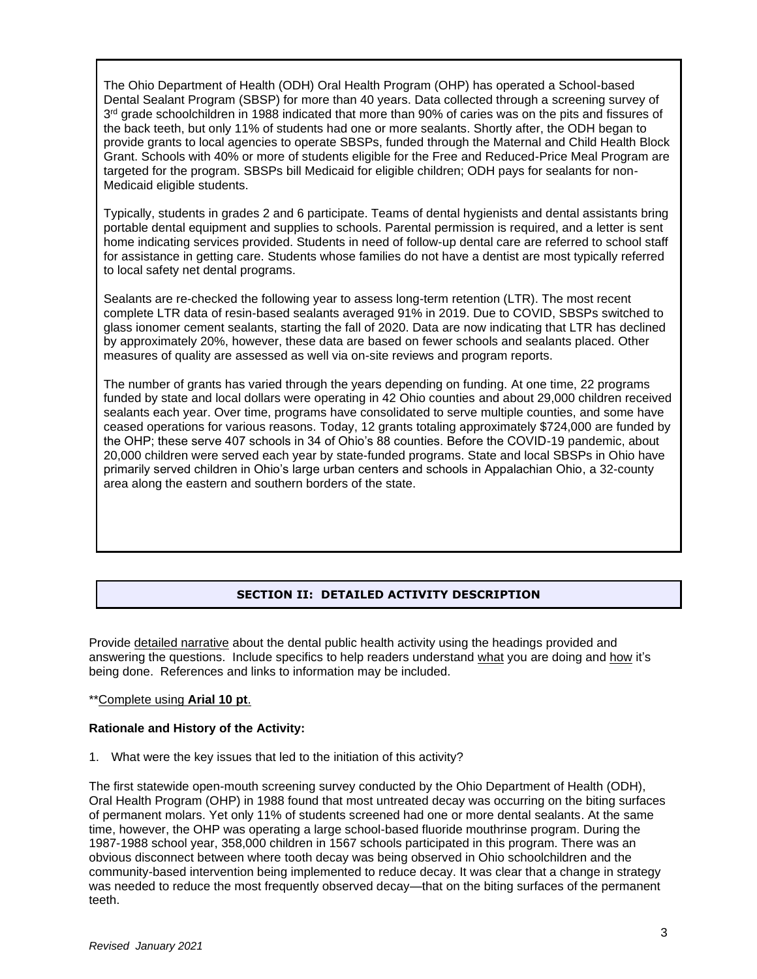The Ohio Department of Health (ODH) Oral Health Program (OHP) has operated a School-based Dental Sealant Program (SBSP) for more than 40 years. Data collected through a screening survey of 3<sup>rd</sup> grade schoolchildren in 1988 indicated that more than 90% of caries was on the pits and fissures of the back teeth, but only 11% of students had one or more sealants. Shortly after, the ODH began to provide grants to local agencies to operate SBSPs, funded through the Maternal and Child Health Block Grant. Schools with 40% or more of students eligible for the Free and Reduced-Price Meal Program are targeted for the program. SBSPs bill Medicaid for eligible children; ODH pays for sealants for non-Medicaid eligible students.

Typically, students in grades 2 and 6 participate. Teams of dental hygienists and dental assistants bring portable dental equipment and supplies to schools. Parental permission is required, and a letter is sent home indicating services provided. Students in need of follow-up dental care are referred to school staff for assistance in getting care. Students whose families do not have a dentist are most typically referred to local safety net dental programs.

Sealants are re-checked the following year to assess long-term retention (LTR). The most recent complete LTR data of resin-based sealants averaged 91% in 2019. Due to COVID, SBSPs switched to glass ionomer cement sealants, starting the fall of 2020. Data are now indicating that LTR has declined by approximately 20%, however, these data are based on fewer schools and sealants placed. Other measures of quality are assessed as well via on-site reviews and program reports.

The number of grants has varied through the years depending on funding. At one time, 22 programs funded by state and local dollars were operating in 42 Ohio counties and about 29,000 children received sealants each year. Over time, programs have consolidated to serve multiple counties, and some have ceased operations for various reasons. Today, 12 grants totaling approximately \$724,000 are funded by the OHP; these serve 407 schools in 34 of Ohio's 88 counties. Before the COVID-19 pandemic, about 20,000 children were served each year by state-funded programs. State and local SBSPs in Ohio have primarily served children in Ohio's large urban centers and schools in Appalachian Ohio, a 32-county area along the eastern and southern borders of the state.

# **SECTION II: DETAILED ACTIVITY DESCRIPTION**

Provide detailed narrative about the dental public health activity using the headings provided and answering the questions. Include specifics to help readers understand what you are doing and how it's being done. References and links to information may be included.

## \*\*Complete using **Arial 10 pt**.

# **Rationale and History of the Activity:**

1. What were the key issues that led to the initiation of this activity?

The first statewide open-mouth screening survey conducted by the Ohio Department of Health (ODH), Oral Health Program (OHP) in 1988 found that most untreated decay was occurring on the biting surfaces of permanent molars. Yet only 11% of students screened had one or more dental sealants. At the same time, however, the OHP was operating a large school-based fluoride mouthrinse program. During the 1987-1988 school year, 358,000 children in 1567 schools participated in this program. There was an obvious disconnect between where tooth decay was being observed in Ohio schoolchildren and the community-based intervention being implemented to reduce decay. It was clear that a change in strategy was needed to reduce the most frequently observed decay—that on the biting surfaces of the permanent teeth.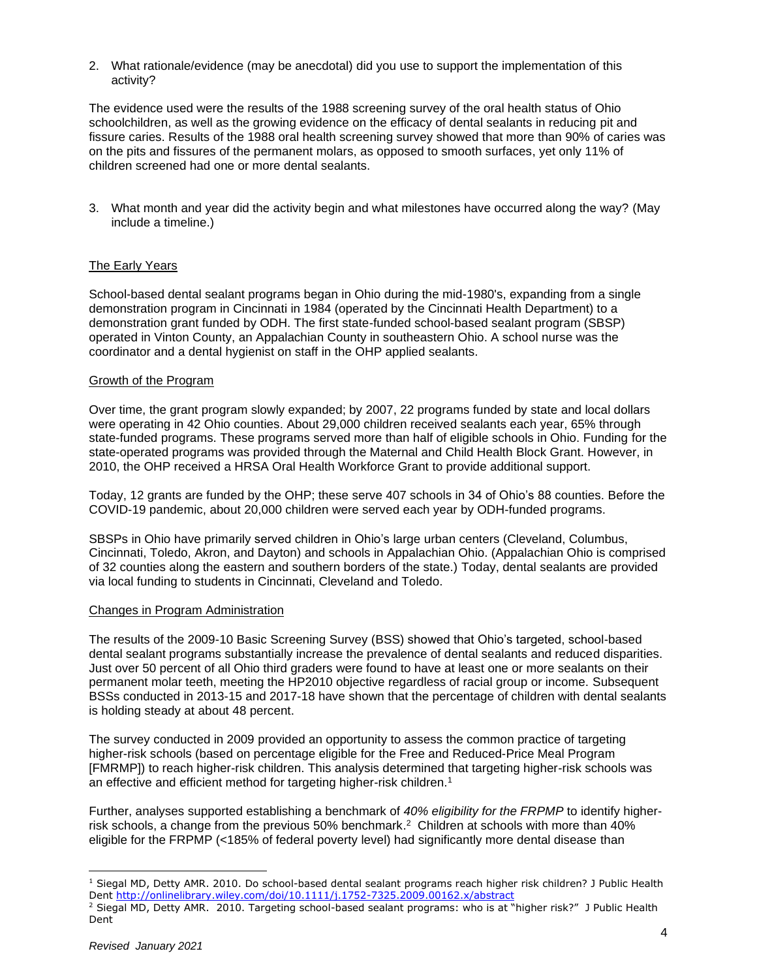2. What rationale/evidence (may be anecdotal) did you use to support the implementation of this activity?

The evidence used were the results of the 1988 screening survey of the oral health status of Ohio schoolchildren, as well as the growing evidence on the efficacy of dental sealants in reducing pit and fissure caries. Results of the 1988 oral health screening survey showed that more than 90% of caries was on the pits and fissures of the permanent molars, as opposed to smooth surfaces, yet only 11% of children screened had one or more dental sealants.

3. What month and year did the activity begin and what milestones have occurred along the way? (May include a timeline.)

## The Early Years

School-based dental sealant programs began in Ohio during the mid-1980's, expanding from a single demonstration program in Cincinnati in 1984 (operated by the Cincinnati Health Department) to a demonstration grant funded by ODH. The first state-funded school-based sealant program (SBSP) operated in Vinton County, an Appalachian County in southeastern Ohio. A school nurse was the coordinator and a dental hygienist on staff in the OHP applied sealants.

#### Growth of the Program

Over time, the grant program slowly expanded; by 2007, 22 programs funded by state and local dollars were operating in 42 Ohio counties. About 29,000 children received sealants each year, 65% through state-funded programs. These programs served more than half of eligible schools in Ohio. Funding for the state-operated programs was provided through the Maternal and Child Health Block Grant. However, in 2010, the OHP received a HRSA Oral Health Workforce Grant to provide additional support.

Today, 12 grants are funded by the OHP; these serve 407 schools in 34 of Ohio's 88 counties. Before the COVID-19 pandemic, about 20,000 children were served each year by ODH-funded programs.

SBSPs in Ohio have primarily served children in Ohio's large urban centers (Cleveland, Columbus, Cincinnati, Toledo, Akron, and Dayton) and schools in Appalachian Ohio. (Appalachian Ohio is comprised of 32 counties along the eastern and southern borders of the state.) Today, dental sealants are provided via local funding to students in Cincinnati, Cleveland and Toledo.

#### Changes in Program Administration

The results of the 2009-10 Basic Screening Survey (BSS) showed that Ohio's targeted, school-based dental sealant programs substantially increase the prevalence of dental sealants and reduced disparities. Just over 50 percent of all Ohio third graders were found to have at least one or more sealants on their permanent molar teeth, meeting the HP2010 objective regardless of racial group or income. Subsequent BSSs conducted in 2013-15 and 2017-18 have shown that the percentage of children with dental sealants is holding steady at about 48 percent.

The survey conducted in 2009 provided an opportunity to assess the common practice of targeting higher-risk schools (based on percentage eligible for the Free and Reduced-Price Meal Program [FMRMP]) to reach higher-risk children. This analysis determined that targeting higher-risk schools was an effective and efficient method for targeting higher-risk children.<sup>1</sup>

Further, analyses supported establishing a benchmark of *40% eligibility for the FRPMP* to identify higherrisk schools, a change from the previous 50% benchmark. 2 Children at schools with more than 40% eligible for the FRPMP (<185% of federal poverty level) had significantly more dental disease than

<sup>1</sup> Siegal MD, Detty AMR. 2010. Do school-based dental sealant programs reach higher risk children? J Public Health Dent<http://onlinelibrary.wiley.com/doi/10.1111/j.1752-7325.2009.00162.x/abstract>

<sup>&</sup>lt;sup>2</sup> Siegal MD, Detty AMR. 2010. Targeting school-based sealant programs: who is at "higher risk?" J Public Health Dent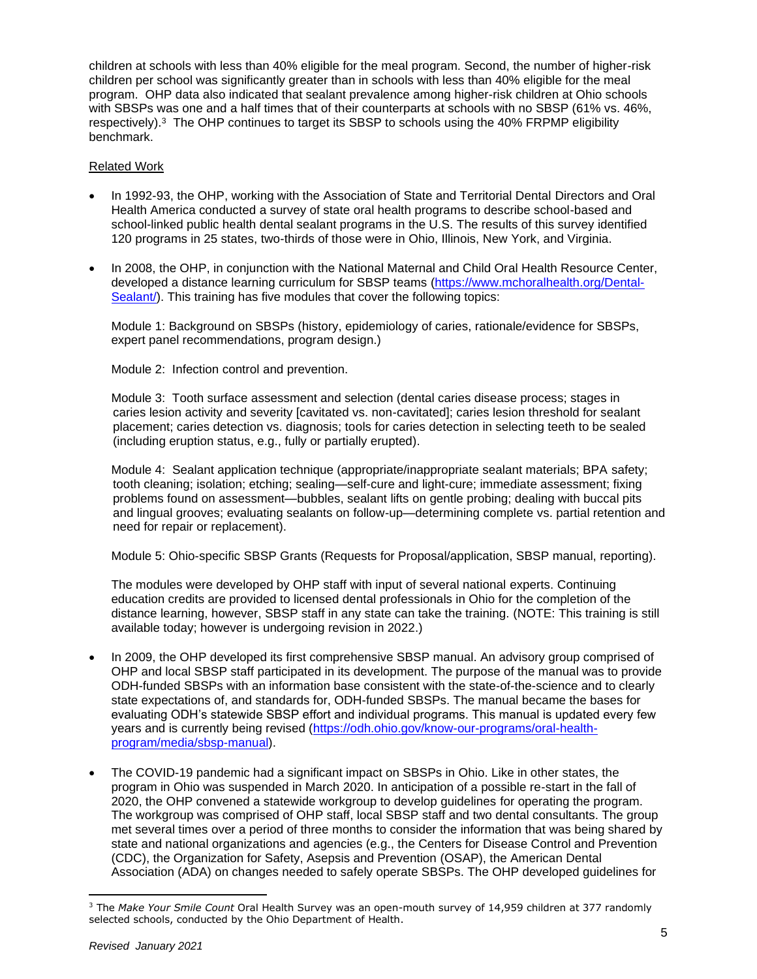children at schools with less than 40% eligible for the meal program. Second, the number of higher-risk children per school was significantly greater than in schools with less than 40% eligible for the meal program. OHP data also indicated that sealant prevalence among higher-risk children at Ohio schools with SBSPs was one and a half times that of their counterparts at schools with no SBSP (61% vs. 46%, respectively).<sup>3</sup> The OHP continues to target its SBSP to schools using the 40% FRPMP eligibility benchmark.

## Related Work

- In 1992-93, the OHP, working with the Association of State and Territorial Dental Directors and Oral Health America conducted a survey of state oral health programs to describe school-based and school-linked public health dental sealant programs in the U.S. The results of this survey identified 120 programs in 25 states, two-thirds of those were in Ohio, Illinois, New York, and Virginia.
- In 2008, the OHP, in conjunction with the National Maternal and Child Oral Health Resource Center, developed a distance learning curriculum for SBSP teams [\(https://www.mchoralhealth.org/Dental-](https://www.mchoralhealth.org/Dental-Sealant/)Sealant). This training has five modules that cover the following topics:

Module 1: Background on SBSPs (history, epidemiology of caries, rationale/evidence for SBSPs, expert panel recommendations, program design.)

Module 2: Infection control and prevention.

Module 3: Tooth surface assessment and selection (dental caries disease process; stages in caries lesion activity and severity [cavitated vs. non-cavitated]; caries lesion threshold for sealant placement; caries detection vs. diagnosis; tools for caries detection in selecting teeth to be sealed (including eruption status, e.g., fully or partially erupted).

Module 4: Sealant application technique (appropriate/inappropriate sealant materials; BPA safety; tooth cleaning; isolation; etching; sealing—self-cure and light-cure; immediate assessment; fixing problems found on assessment—bubbles, sealant lifts on gentle probing; dealing with buccal pits and lingual grooves; evaluating sealants on follow-up—determining complete vs. partial retention and need for repair or replacement).

Module 5: Ohio-specific SBSP Grants (Requests for Proposal/application, SBSP manual, reporting).

The modules were developed by OHP staff with input of several national experts. Continuing education credits are provided to licensed dental professionals in Ohio for the completion of the distance learning, however, SBSP staff in any state can take the training. (NOTE: This training is still available today; however is undergoing revision in 2022.)

- In 2009, the OHP developed its first comprehensive SBSP manual. An advisory group comprised of OHP and local SBSP staff participated in its development. The purpose of the manual was to provide ODH-funded SBSPs with an information base consistent with the state-of-the-science and to clearly state expectations of, and standards for, ODH-funded SBSPs. The manual became the bases for evaluating ODH's statewide SBSP effort and individual programs. This manual is updated every few years and is currently being revised [\(https://odh.ohio.gov/know-our-programs/oral-health](https://odh.ohio.gov/know-our-programs/oral-health-program/media/sbsp-manual)[program/media/sbsp-manual\)](https://odh.ohio.gov/know-our-programs/oral-health-program/media/sbsp-manual).
- The COVID-19 pandemic had a significant impact on SBSPs in Ohio. Like in other states, the program in Ohio was suspended in March 2020. In anticipation of a possible re-start in the fall of 2020, the OHP convened a statewide workgroup to develop guidelines for operating the program. The workgroup was comprised of OHP staff, local SBSP staff and two dental consultants. The group met several times over a period of three months to consider the information that was being shared by state and national organizations and agencies (e.g., the Centers for Disease Control and Prevention (CDC), the Organization for Safety, Asepsis and Prevention (OSAP), the American Dental Association (ADA) on changes needed to safely operate SBSPs. The OHP developed guidelines for

<sup>3</sup> The *Make Your Smile Count* Oral Health Survey was an open-mouth survey of 14,959 children at 377 randomly selected schools, conducted by the Ohio Department of Health.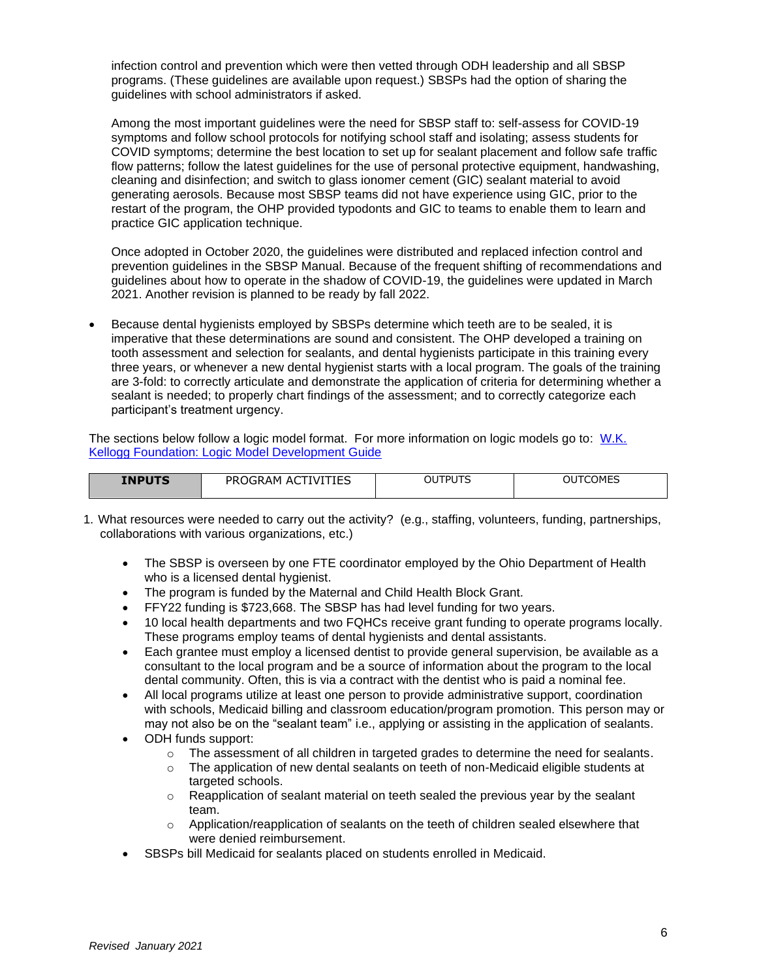infection control and prevention which were then vetted through ODH leadership and all SBSP programs. (These guidelines are available upon request.) SBSPs had the option of sharing the guidelines with school administrators if asked.

Among the most important guidelines were the need for SBSP staff to: self-assess for COVID-19 symptoms and follow school protocols for notifying school staff and isolating; assess students for COVID symptoms; determine the best location to set up for sealant placement and follow safe traffic flow patterns; follow the latest guidelines for the use of personal protective equipment, handwashing, cleaning and disinfection; and switch to glass ionomer cement (GIC) sealant material to avoid generating aerosols. Because most SBSP teams did not have experience using GIC, prior to the restart of the program, the OHP provided typodonts and GIC to teams to enable them to learn and practice GIC application technique.

Once adopted in October 2020, the guidelines were distributed and replaced infection control and prevention guidelines in the SBSP Manual. Because of the frequent shifting of recommendations and guidelines about how to operate in the shadow of COVID-19, the guidelines were updated in March 2021. Another revision is planned to be ready by fall 2022.

• Because dental hygienists employed by SBSPs determine which teeth are to be sealed, it is imperative that these determinations are sound and consistent. The OHP developed a training on tooth assessment and selection for sealants, and dental hygienists participate in this training every three years, or whenever a new dental hygienist starts with a local program. The goals of the training are 3-fold: to correctly articulate and demonstrate the application of criteria for determining whether a sealant is needed; to properly chart findings of the assessment; and to correctly categorize each participant's treatment urgency.

The sections below follow a logic model format. For more information on logic models go to: [W.K.](http://www.exinfm.com/training/pdfiles/logicModel.pdf)  [Kellogg Foundation: Logic Model Development Guide](http://www.exinfm.com/training/pdfiles/logicModel.pdf)

| ITCOMES<br>OUTPUTS<br>OUT<br>TIEC<br>íVT<br><b>INPUTS</b><br>PRO<br>ΔM<br>AC<br>' )GRAF.<br>,,,,,,,,,, |  |  |  |  |  |
|--------------------------------------------------------------------------------------------------------|--|--|--|--|--|
|--------------------------------------------------------------------------------------------------------|--|--|--|--|--|

- 1. What resources were needed to carry out the activity? (e.g., staffing, volunteers, funding, partnerships, collaborations with various organizations, etc.)
	- The SBSP is overseen by one FTE coordinator employed by the Ohio Department of Health who is a licensed dental hygienist.
	- The program is funded by the Maternal and Child Health Block Grant.
	- FFY22 funding is \$723,668. The SBSP has had level funding for two years.
	- 10 local health departments and two FQHCs receive grant funding to operate programs locally. These programs employ teams of dental hygienists and dental assistants.
	- Each grantee must employ a licensed dentist to provide general supervision, be available as a consultant to the local program and be a source of information about the program to the local dental community. Often, this is via a contract with the dentist who is paid a nominal fee.
	- All local programs utilize at least one person to provide administrative support, coordination with schools, Medicaid billing and classroom education/program promotion. This person may or may not also be on the "sealant team" i.e., applying or assisting in the application of sealants.
	- ODH funds support:
		- $\circ$  The assessment of all children in targeted grades to determine the need for sealants.
		- $\circ$  The application of new dental sealants on teeth of non-Medicaid eligible students at targeted schools.
		- $\circ$  Reapplication of sealant material on teeth sealed the previous year by the sealant team.
		- Application/reapplication of sealants on the teeth of children sealed elsewhere that were denied reimbursement.
	- SBSPs bill Medicaid for sealants placed on students enrolled in Medicaid.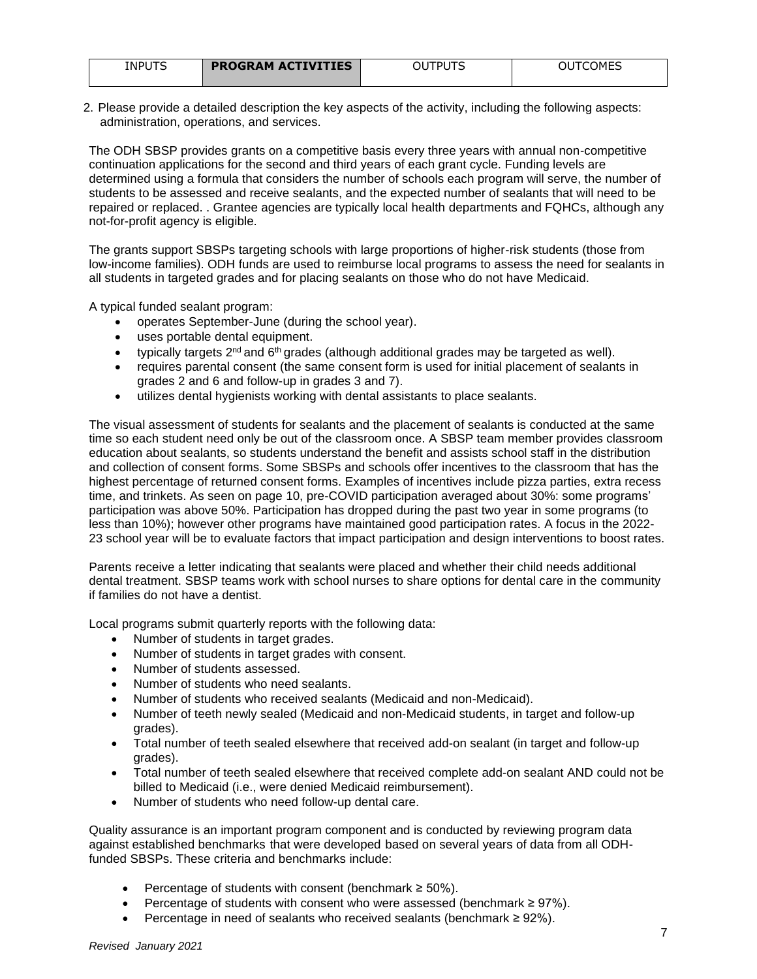| INPUTS | <b>PROGRAM ACTIVITIES</b> | OUTPUTS | COMES<br>OUT( |
|--------|---------------------------|---------|---------------|
|        |                           |         |               |

2. Please provide a detailed description the key aspects of the activity, including the following aspects: administration, operations, and services.

The ODH SBSP provides grants on a competitive basis every three years with annual non-competitive continuation applications for the second and third years of each grant cycle. Funding levels are determined using a formula that considers the number of schools each program will serve, the number of students to be assessed and receive sealants, and the expected number of sealants that will need to be repaired or replaced. . Grantee agencies are typically local health departments and FQHCs, although any not-for-profit agency is eligible.

The grants support SBSPs targeting schools with large proportions of higher-risk students (those from low-income families). ODH funds are used to reimburse local programs to assess the need for sealants in all students in targeted grades and for placing sealants on those who do not have Medicaid.

A typical funded sealant program:

- operates September-June (during the school year).
- uses portable dental equipment.
- typically targets  $2^{nd}$  and  $6^{th}$  grades (although additional grades may be targeted as well).
- requires parental consent (the same consent form is used for initial placement of sealants in grades 2 and 6 and follow-up in grades 3 and 7).
- utilizes dental hygienists working with dental assistants to place sealants.

The visual assessment of students for sealants and the placement of sealants is conducted at the same time so each student need only be out of the classroom once. A SBSP team member provides classroom education about sealants, so students understand the benefit and assists school staff in the distribution and collection of consent forms. Some SBSPs and schools offer incentives to the classroom that has the highest percentage of returned consent forms. Examples of incentives include pizza parties, extra recess time, and trinkets. As seen on page 10, pre-COVID participation averaged about 30%: some programs' participation was above 50%. Participation has dropped during the past two year in some programs (to less than 10%); however other programs have maintained good participation rates. A focus in the 2022- 23 school year will be to evaluate factors that impact participation and design interventions to boost rates.

Parents receive a letter indicating that sealants were placed and whether their child needs additional dental treatment. SBSP teams work with school nurses to share options for dental care in the community if families do not have a dentist.

Local programs submit quarterly reports with the following data:

- Number of students in target grades.
- Number of students in target grades with consent.
- Number of students assessed.
- Number of students who need sealants.
- Number of students who received sealants (Medicaid and non-Medicaid).
- Number of teeth newly sealed (Medicaid and non-Medicaid students, in target and follow-up grades).
- Total number of teeth sealed elsewhere that received add-on sealant (in target and follow-up grades).
- Total number of teeth sealed elsewhere that received complete add-on sealant AND could not be billed to Medicaid (i.e., were denied Medicaid reimbursement).
- Number of students who need follow-up dental care.

Quality assurance is an important program component and is conducted by reviewing program data against established benchmarks that were developed based on several years of data from all ODHfunded SBSPs. These criteria and benchmarks include:

- Percentage of students with consent (benchmark  $\geq 50\%$ ).
- Percentage of students with consent who were assessed (benchmark  $\geq 97\%$ ).
- Percentage in need of sealants who received sealants (benchmark ≥ 92%).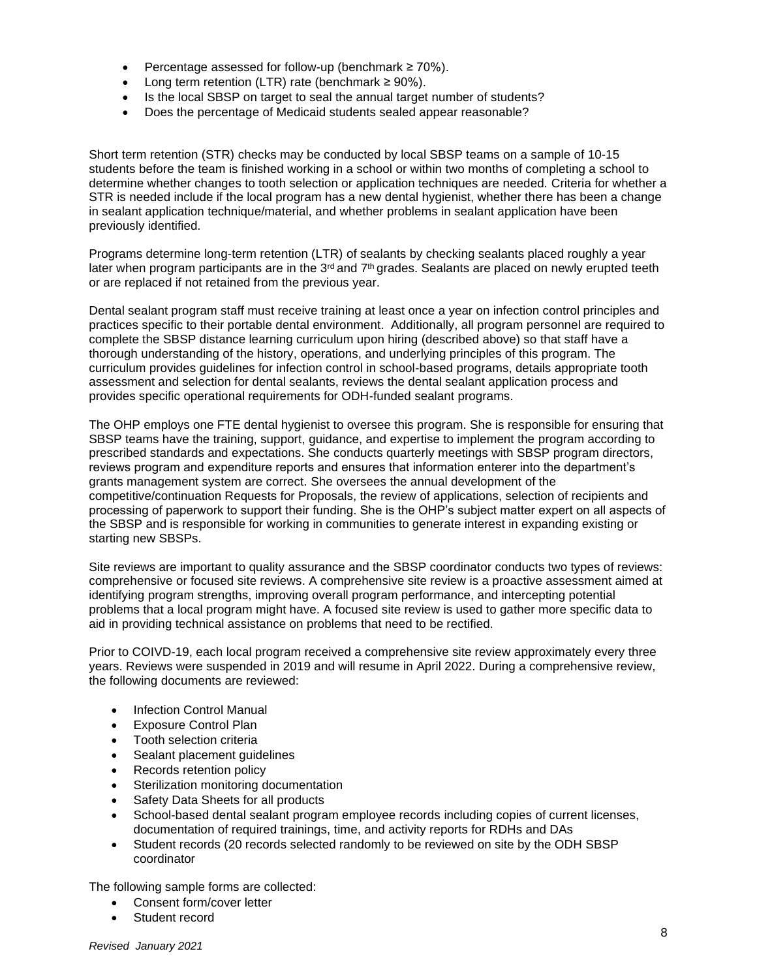- Percentage assessed for follow-up (benchmark  $\geq 70\%$ ).
- Long term retention (LTR) rate (benchmark  $\geq 90\%$ ).
- Is the local SBSP on target to seal the annual target number of students?
- Does the percentage of Medicaid students sealed appear reasonable?

Short term retention (STR) checks may be conducted by local SBSP teams on a sample of 10-15 students before the team is finished working in a school or within two months of completing a school to determine whether changes to tooth selection or application techniques are needed. Criteria for whether a STR is needed include if the local program has a new dental hygienist, whether there has been a change in sealant application technique/material, and whether problems in sealant application have been previously identified.

Programs determine long-term retention (LTR) of sealants by checking sealants placed roughly a year later when program participants are in the  $3<sup>rd</sup>$  and  $7<sup>th</sup>$  grades. Sealants are placed on newly erupted teeth or are replaced if not retained from the previous year.

Dental sealant program staff must receive training at least once a year on infection control principles and practices specific to their portable dental environment. Additionally, all program personnel are required to complete the SBSP distance learning curriculum upon hiring (described above) so that staff have a thorough understanding of the history, operations, and underlying principles of this program. The curriculum provides guidelines for infection control in school-based programs, details appropriate tooth assessment and selection for dental sealants, reviews the dental sealant application process and provides specific operational requirements for ODH-funded sealant programs.

The OHP employs one FTE dental hygienist to oversee this program. She is responsible for ensuring that SBSP teams have the training, support, guidance, and expertise to implement the program according to prescribed standards and expectations. She conducts quarterly meetings with SBSP program directors, reviews program and expenditure reports and ensures that information enterer into the department's grants management system are correct. She oversees the annual development of the competitive/continuation Requests for Proposals, the review of applications, selection of recipients and processing of paperwork to support their funding. She is the OHP's subject matter expert on all aspects of the SBSP and is responsible for working in communities to generate interest in expanding existing or starting new SBSPs.

Site reviews are important to quality assurance and the SBSP coordinator conducts two types of reviews: comprehensive or focused site reviews. A comprehensive site review is a proactive assessment aimed at identifying program strengths, improving overall program performance, and intercepting potential problems that a local program might have. A focused site review is used to gather more specific data to aid in providing technical assistance on problems that need to be rectified.

Prior to COIVD-19, each local program received a comprehensive site review approximately every three years. Reviews were suspended in 2019 and will resume in April 2022. During a comprehensive review, the following documents are reviewed:

- Infection Control Manual
- Exposure Control Plan
- Tooth selection criteria
- Sealant placement guidelines
- Records retention policy
- Sterilization monitoring documentation
- Safety Data Sheets for all products
- School-based dental sealant program employee records including copies of current licenses, documentation of required trainings, time, and activity reports for RDHs and DAs
- Student records (20 records selected randomly to be reviewed on site by the ODH SBSP coordinator

The following sample forms are collected:

- Consent form/cover letter
- Student record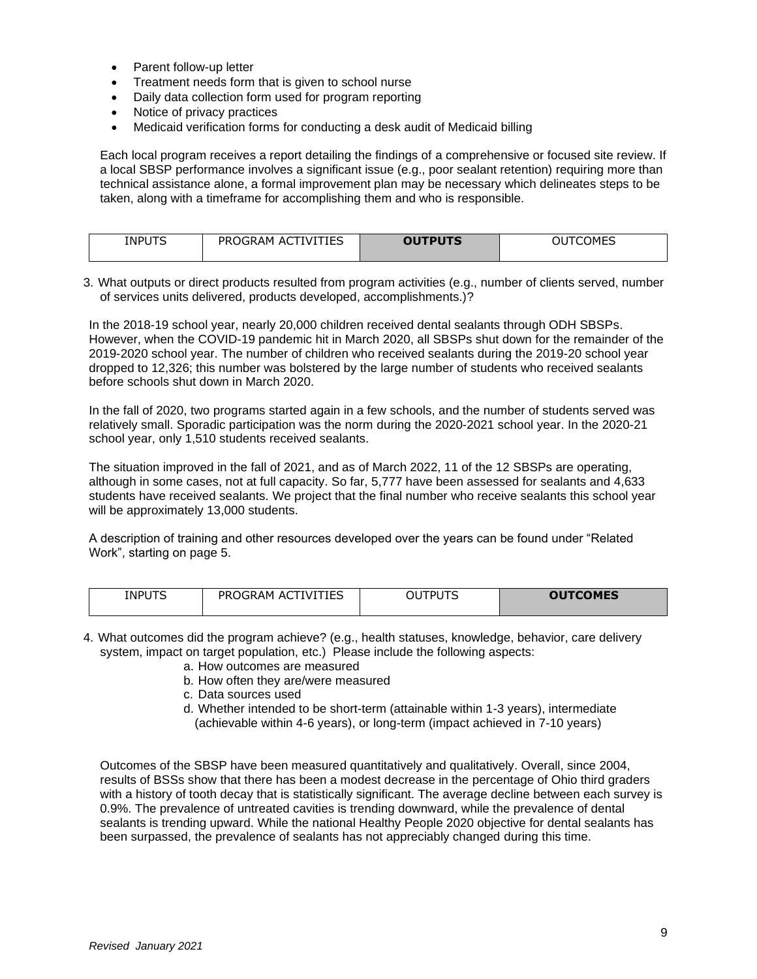- Parent follow-up letter
- Treatment needs form that is given to school nurse
- Daily data collection form used for program reporting
- Notice of privacy practices
- Medicaid verification forms for conducting a desk audit of Medicaid billing

Each local program receives a report detailing the findings of a comprehensive or focused site review. If a local SBSP performance involves a significant issue (e.g., poor sealant retention) requiring more than technical assistance alone, a formal improvement plan may be necessary which delineates steps to be taken, along with a timeframe for accomplishing them and who is responsible.

| <b>INPUTS</b> | <b>ACTIVITIES</b><br><b>PROGRAM</b> | <b>OUTPUTS</b> | TCOMES<br>OU |
|---------------|-------------------------------------|----------------|--------------|
|               |                                     |                |              |

3. What outputs or direct products resulted from program activities (e.g., number of clients served, number of services units delivered, products developed, accomplishments.)?

In the 2018-19 school year, nearly 20,000 children received dental sealants through ODH SBSPs. However, when the COVID-19 pandemic hit in March 2020, all SBSPs shut down for the remainder of the 2019-2020 school year. The number of children who received sealants during the 2019-20 school year dropped to 12,326; this number was bolstered by the large number of students who received sealants before schools shut down in March 2020.

In the fall of 2020, two programs started again in a few schools, and the number of students served was relatively small. Sporadic participation was the norm during the 2020-2021 school year. In the 2020-21 school year, only 1,510 students received sealants.

The situation improved in the fall of 2021, and as of March 2022, 11 of the 12 SBSPs are operating, although in some cases, not at full capacity. So far, 5,777 have been assessed for sealants and 4,633 students have received sealants. We project that the final number who receive sealants this school year will be approximately 13,000 students.

A description of training and other resources developed over the years can be found under "Related Work", starting on page 5.

| <b>INPUTS</b><br>__ | ΊES<br>PRC<br>0GRAM<br>AΙ<br>IVI | $- - -$<br>וח־<br>' )ા | <b>OUTCOMES</b> |
|---------------------|----------------------------------|------------------------|-----------------|
|---------------------|----------------------------------|------------------------|-----------------|

- 4. What outcomes did the program achieve? (e.g., health statuses, knowledge, behavior, care delivery system, impact on target population, etc.) Please include the following aspects:
	- a. How outcomes are measured
	- b. How often they are/were measured
	- c. Data sources used
	- d. Whether intended to be short-term (attainable within 1-3 years), intermediate (achievable within 4-6 years), or long-term (impact achieved in 7-10 years)

Outcomes of the SBSP have been measured quantitatively and qualitatively. Overall, since 2004, results of BSSs show that there has been a modest decrease in the percentage of Ohio third graders with a history of tooth decay that is statistically significant. The average decline between each survey is 0.9%. The prevalence of untreated cavities is trending downward, while the prevalence of dental sealants is trending upward. While the national Healthy People 2020 objective for dental sealants has been surpassed, the prevalence of sealants has not appreciably changed during this time.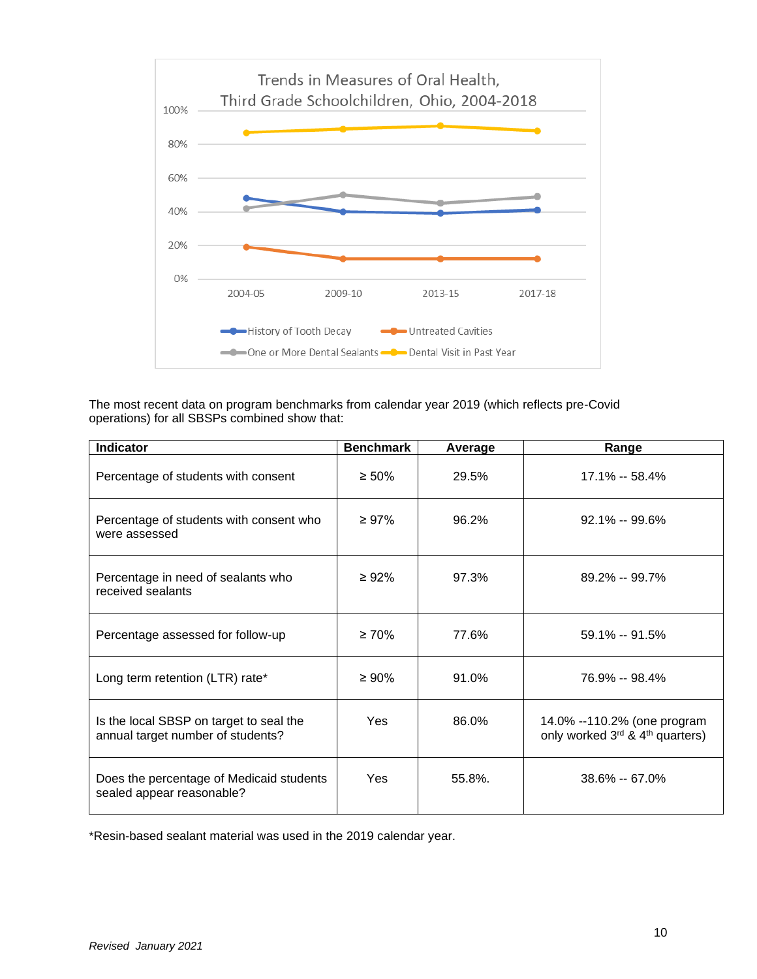

The most recent data on program benchmarks from calendar year 2019 (which reflects pre-Covid operations) for all SBSPs combined show that:

| <b>Indicator</b>                                                             | <b>Benchmark</b> | Average | Range                                                          |
|------------------------------------------------------------------------------|------------------|---------|----------------------------------------------------------------|
| Percentage of students with consent                                          | $\geq 50\%$      | 29.5%   | 17.1% -- 58.4%                                                 |
| Percentage of students with consent who<br>were assessed                     | $\geq 97\%$      | 96.2%   | $92.1\% - 99.6\%$                                              |
| Percentage in need of sealants who<br>received sealants                      | $\geq 92\%$      | 97.3%   | $89.2\% - 99.7\%$                                              |
| Percentage assessed for follow-up                                            | $\geq 70\%$      | 77.6%   | $59.1\% - 91.5\%$                                              |
| Long term retention (LTR) rate*                                              | $\geq 90\%$      | 91.0%   | 76.9% -- 98.4%                                                 |
| Is the local SBSP on target to seal the<br>annual target number of students? | <b>Yes</b>       | 86.0%   | 14.0% --110.2% (one program<br>only worked 3rd & 4th quarters) |
| Does the percentage of Medicaid students<br>sealed appear reasonable?        | Yes              | 55.8%.  | $38.6\% - 67.0\%$                                              |

\*Resin-based sealant material was used in the 2019 calendar year.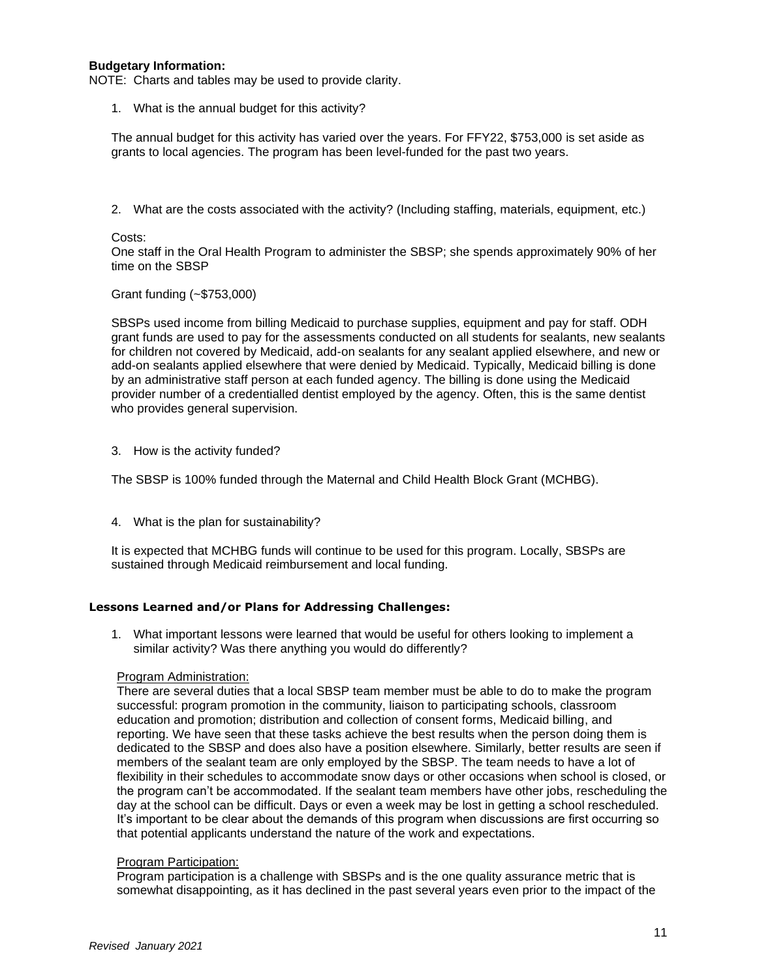## **Budgetary Information:**

NOTE: Charts and tables may be used to provide clarity.

1. What is the annual budget for this activity?

The annual budget for this activity has varied over the years. For FFY22, \$753,000 is set aside as grants to local agencies. The program has been level-funded for the past two years.

2. What are the costs associated with the activity? (Including staffing, materials, equipment, etc.)

#### Costs:

One staff in the Oral Health Program to administer the SBSP; she spends approximately 90% of her time on the SBSP

#### Grant funding (~\$753,000)

SBSPs used income from billing Medicaid to purchase supplies, equipment and pay for staff. ODH grant funds are used to pay for the assessments conducted on all students for sealants, new sealants for children not covered by Medicaid, add-on sealants for any sealant applied elsewhere, and new or add-on sealants applied elsewhere that were denied by Medicaid. Typically, Medicaid billing is done by an administrative staff person at each funded agency. The billing is done using the Medicaid provider number of a credentialled dentist employed by the agency. Often, this is the same dentist who provides general supervision.

3. How is the activity funded?

The SBSP is 100% funded through the Maternal and Child Health Block Grant (MCHBG).

4. What is the plan for sustainability?

It is expected that MCHBG funds will continue to be used for this program. Locally, SBSPs are sustained through Medicaid reimbursement and local funding.

## **Lessons Learned and/or Plans for Addressing Challenges:**

1. What important lessons were learned that would be useful for others looking to implement a similar activity? Was there anything you would do differently?

#### Program Administration:

There are several duties that a local SBSP team member must be able to do to make the program successful: program promotion in the community, liaison to participating schools, classroom education and promotion; distribution and collection of consent forms, Medicaid billing, and reporting. We have seen that these tasks achieve the best results when the person doing them is dedicated to the SBSP and does also have a position elsewhere. Similarly, better results are seen if members of the sealant team are only employed by the SBSP. The team needs to have a lot of flexibility in their schedules to accommodate snow days or other occasions when school is closed, or the program can't be accommodated. If the sealant team members have other jobs, rescheduling the day at the school can be difficult. Days or even a week may be lost in getting a school rescheduled. It's important to be clear about the demands of this program when discussions are first occurring so that potential applicants understand the nature of the work and expectations.

#### Program Participation:

Program participation is a challenge with SBSPs and is the one quality assurance metric that is somewhat disappointing, as it has declined in the past several years even prior to the impact of the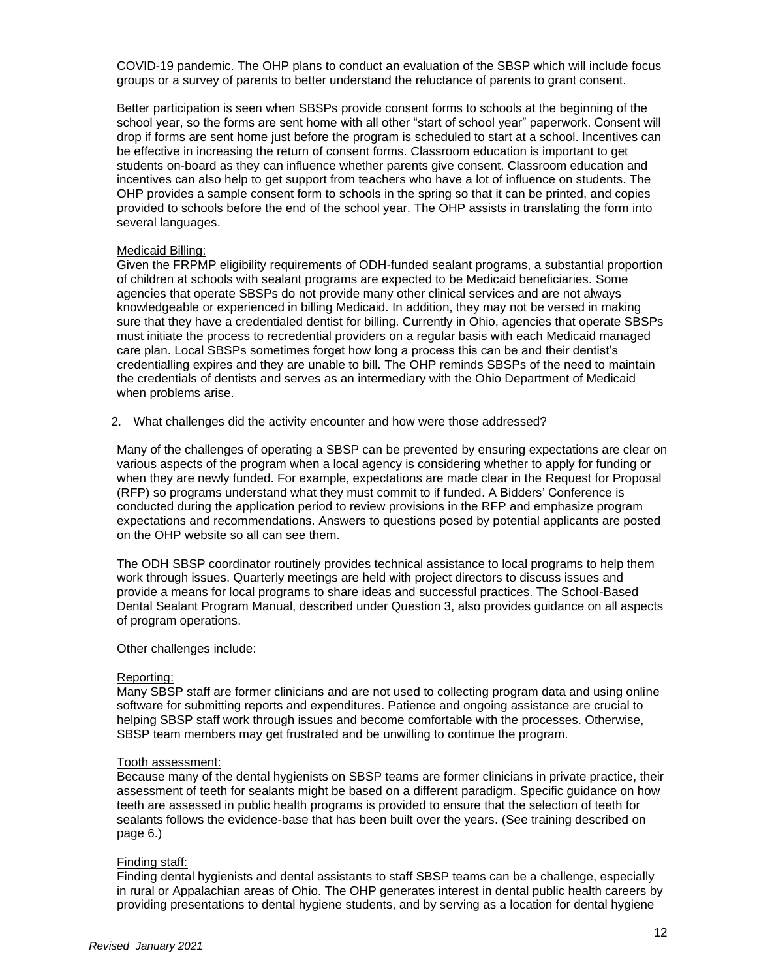COVID-19 pandemic. The OHP plans to conduct an evaluation of the SBSP which will include focus groups or a survey of parents to better understand the reluctance of parents to grant consent.

Better participation is seen when SBSPs provide consent forms to schools at the beginning of the school year, so the forms are sent home with all other "start of school year" paperwork. Consent will drop if forms are sent home just before the program is scheduled to start at a school. Incentives can be effective in increasing the return of consent forms. Classroom education is important to get students on-board as they can influence whether parents give consent. Classroom education and incentives can also help to get support from teachers who have a lot of influence on students. The OHP provides a sample consent form to schools in the spring so that it can be printed, and copies provided to schools before the end of the school year. The OHP assists in translating the form into several languages.

#### Medicaid Billing:

Given the FRPMP eligibility requirements of ODH-funded sealant programs, a substantial proportion of children at schools with sealant programs are expected to be Medicaid beneficiaries. Some agencies that operate SBSPs do not provide many other clinical services and are not always knowledgeable or experienced in billing Medicaid. In addition, they may not be versed in making sure that they have a credentialed dentist for billing. Currently in Ohio, agencies that operate SBSPs must initiate the process to recredential providers on a regular basis with each Medicaid managed care plan. Local SBSPs sometimes forget how long a process this can be and their dentist's credentialling expires and they are unable to bill. The OHP reminds SBSPs of the need to maintain the credentials of dentists and serves as an intermediary with the Ohio Department of Medicaid when problems arise.

2. What challenges did the activity encounter and how were those addressed?

Many of the challenges of operating a SBSP can be prevented by ensuring expectations are clear on various aspects of the program when a local agency is considering whether to apply for funding or when they are newly funded. For example, expectations are made clear in the Request for Proposal (RFP) so programs understand what they must commit to if funded. A Bidders' Conference is conducted during the application period to review provisions in the RFP and emphasize program expectations and recommendations. Answers to questions posed by potential applicants are posted on the OHP website so all can see them.

The ODH SBSP coordinator routinely provides technical assistance to local programs to help them work through issues. Quarterly meetings are held with project directors to discuss issues and provide a means for local programs to share ideas and successful practices. The School-Based Dental Sealant Program Manual, described under Question 3, also provides guidance on all aspects of program operations.

Other challenges include:

#### Reporting:

Many SBSP staff are former clinicians and are not used to collecting program data and using online software for submitting reports and expenditures. Patience and ongoing assistance are crucial to helping SBSP staff work through issues and become comfortable with the processes. Otherwise, SBSP team members may get frustrated and be unwilling to continue the program.

#### Tooth assessment:

Because many of the dental hygienists on SBSP teams are former clinicians in private practice, their assessment of teeth for sealants might be based on a different paradigm. Specific guidance on how teeth are assessed in public health programs is provided to ensure that the selection of teeth for sealants follows the evidence-base that has been built over the years. (See training described on page 6.)

#### Finding staff:

Finding dental hygienists and dental assistants to staff SBSP teams can be a challenge, especially in rural or Appalachian areas of Ohio. The OHP generates interest in dental public health careers by providing presentations to dental hygiene students, and by serving as a location for dental hygiene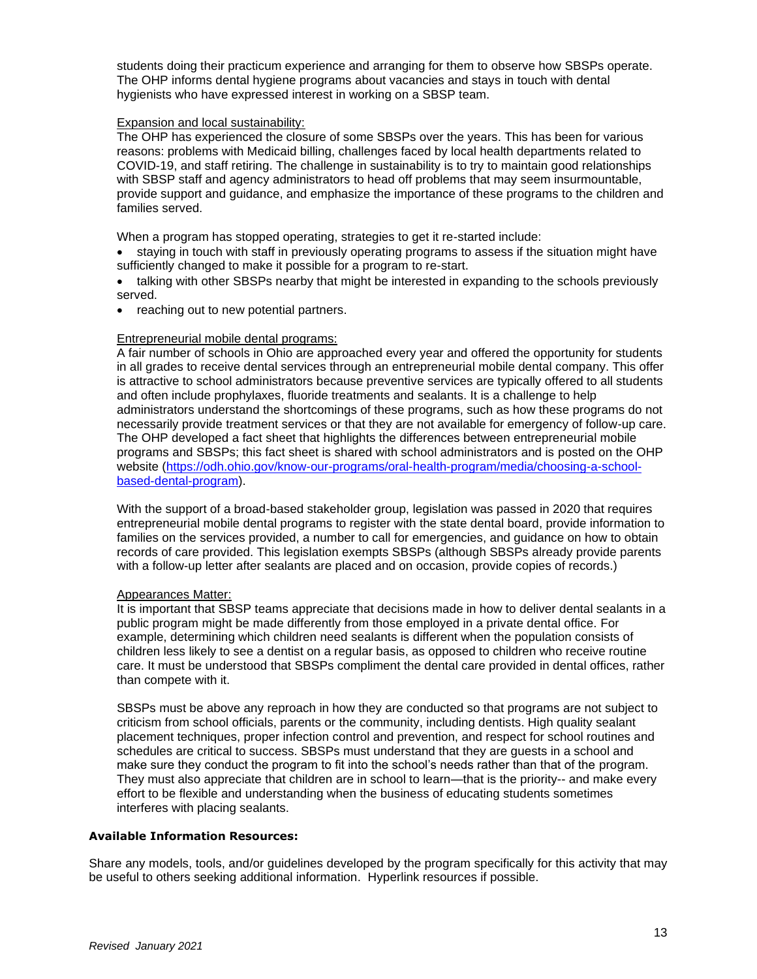students doing their practicum experience and arranging for them to observe how SBSPs operate. The OHP informs dental hygiene programs about vacancies and stays in touch with dental hygienists who have expressed interest in working on a SBSP team.

## Expansion and local sustainability:

The OHP has experienced the closure of some SBSPs over the years. This has been for various reasons: problems with Medicaid billing, challenges faced by local health departments related to COVID-19, and staff retiring. The challenge in sustainability is to try to maintain good relationships with SBSP staff and agency administrators to head off problems that may seem insurmountable, provide support and guidance, and emphasize the importance of these programs to the children and families served.

When a program has stopped operating, strategies to get it re-started include:

- staying in touch with staff in previously operating programs to assess if the situation might have sufficiently changed to make it possible for a program to re-start.
- talking with other SBSPs nearby that might be interested in expanding to the schools previously served.
- reaching out to new potential partners.

# Entrepreneurial mobile dental programs:

A fair number of schools in Ohio are approached every year and offered the opportunity for students in all grades to receive dental services through an entrepreneurial mobile dental company. This offer is attractive to school administrators because preventive services are typically offered to all students and often include prophylaxes, fluoride treatments and sealants. It is a challenge to help administrators understand the shortcomings of these programs, such as how these programs do not necessarily provide treatment services or that they are not available for emergency of follow-up care. The OHP developed a fact sheet that highlights the differences between entrepreneurial mobile programs and SBSPs; this fact sheet is shared with school administrators and is posted on the OHP website [\(https://odh.ohio.gov/know-our-programs/oral-health-program/media/choosing-a-school](https://odh.ohio.gov/know-our-programs/oral-health-program/media/choosing-a-school-based-dental-program)[based-dental-program\)](https://odh.ohio.gov/know-our-programs/oral-health-program/media/choosing-a-school-based-dental-program).

With the support of a broad-based stakeholder group, legislation was passed in 2020 that requires entrepreneurial mobile dental programs to register with the state dental board, provide information to families on the services provided, a number to call for emergencies, and guidance on how to obtain records of care provided. This legislation exempts SBSPs (although SBSPs already provide parents with a follow-up letter after sealants are placed and on occasion, provide copies of records.)

# Appearances Matter:

It is important that SBSP teams appreciate that decisions made in how to deliver dental sealants in a public program might be made differently from those employed in a private dental office. For example, determining which children need sealants is different when the population consists of children less likely to see a dentist on a regular basis, as opposed to children who receive routine care. It must be understood that SBSPs compliment the dental care provided in dental offices, rather than compete with it.

SBSPs must be above any reproach in how they are conducted so that programs are not subject to criticism from school officials, parents or the community, including dentists. High quality sealant placement techniques, proper infection control and prevention, and respect for school routines and schedules are critical to success. SBSPs must understand that they are guests in a school and make sure they conduct the program to fit into the school's needs rather than that of the program. They must also appreciate that children are in school to learn—that is the priority-- and make every effort to be flexible and understanding when the business of educating students sometimes interferes with placing sealants.

## **Available Information Resources:**

Share any models, tools, and/or guidelines developed by the program specifically for this activity that may be useful to others seeking additional information. Hyperlink resources if possible.